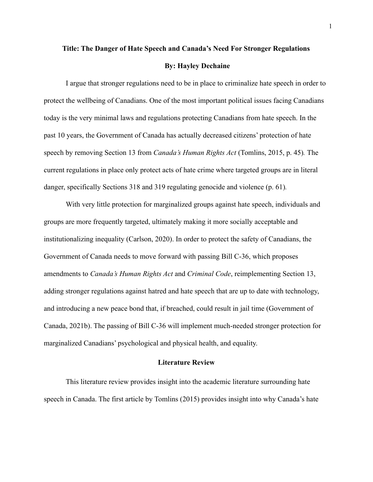# **Title: The Danger of Hate Speech and Canada's Need For Stronger Regulations By: Hayley Dechaine**

I argue that stronger regulations need to be in place to criminalize hate speech in order to protect the wellbeing of Canadians. One of the most important political issues facing Canadians today is the very minimal laws and regulations protecting Canadians from hate speech. In the past 10 years, the Government of Canada has actually decreased citizens' protection of hate speech by removing Section 13 from *Canada's Human Rights Act* (Tomlins, 2015, p. 45)*.* The current regulations in place only protect acts of hate crime where targeted groups are in literal danger, specifically Sections 318 and 319 regulating genocide and violence (p. 61)*.*

With very little protection for marginalized groups against hate speech, individuals and groups are more frequently targeted, ultimately making it more socially acceptable and institutionalizing inequality (Carlson, 2020). In order to protect the safety of Canadians, the Government of Canada needs to move forward with passing Bill C-36, which proposes amendments to *Canada's Human Rights Act* and *Criminal Code*, reimplementing Section 13, adding stronger regulations against hatred and hate speech that are up to date with technology, and introducing a new peace bond that, if breached, could result in jail time (Government of Canada, 2021b). The passing of Bill C-36 will implement much-needed stronger protection for marginalized Canadians' psychological and physical health, and equality.

#### **Literature Review**

This literature review provides insight into the academic literature surrounding hate speech in Canada. The first article by Tomlins (2015) provides insight into why Canada's hate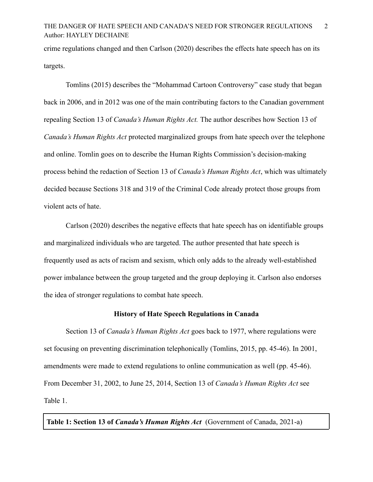## THE DANGER OF HATE SPEECH AND CANADA'S NEED FOR STRONGER REGULATIONS 2 Author: HAYLEY DECHAINE

crime regulations changed and then Carlson (2020) describes the effects hate speech has on its targets.

Tomlins (2015) describes the "Mohammad Cartoon Controversy" case study that began back in 2006, and in 2012 was one of the main contributing factors to the Canadian government repealing Section 13 of *Canada's Human Rights Act.* The author describes how Section 13 of *Canada's Human Rights Act* protected marginalized groups from hate speech over the telephone and online. Tomlin goes on to describe the Human Rights Commission's decision-making process behind the redaction of Section 13 of *Canada's Human Rights Act*, which was ultimately decided because Sections 318 and 319 of the Criminal Code already protect those groups from violent acts of hate.

Carlson (2020) describes the negative effects that hate speech has on identifiable groups and marginalized individuals who are targeted. The author presented that hate speech is frequently used as acts of racism and sexism, which only adds to the already well-established power imbalance between the group targeted and the group deploying it. Carlson also endorses the idea of stronger regulations to combat hate speech.

#### **History of Hate Speech Regulations in Canada**

Section 13 of *Canada's Human Rights Act* goes back to 1977, where regulations were set focusing on preventing discrimination telephonically (Tomlins, 2015, pp. 45-46). In 2001, amendments were made to extend regulations to online communication as well (pp. 45-46). From December 31, 2002, to June 25, 2014, Section 13 of *Canada's Human Rights Act* see Table 1.

**Table 1: Section 13 of** *Canada's Human Rights Act* (Government of Canada, 2021-a)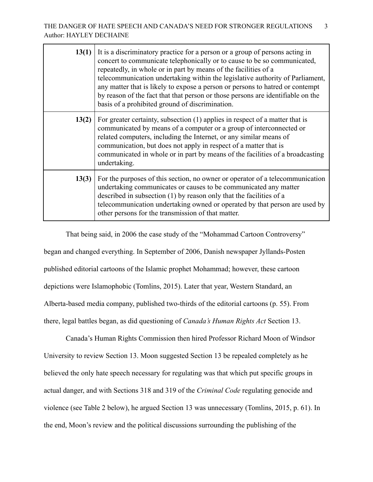| 13(1) | It is a discriminatory practice for a person or a group of persons acting in<br>concert to communicate telephonically or to cause to be so communicated,<br>repeatedly, in whole or in part by means of the facilities of a<br>telecommunication undertaking within the legislative authority of Parliament,<br>any matter that is likely to expose a person or persons to hatred or contempt<br>by reason of the fact that that person or those persons are identifiable on the<br>basis of a prohibited ground of discrimination. |
|-------|-------------------------------------------------------------------------------------------------------------------------------------------------------------------------------------------------------------------------------------------------------------------------------------------------------------------------------------------------------------------------------------------------------------------------------------------------------------------------------------------------------------------------------------|
| 13(2) | For greater certainty, subsection (1) applies in respect of a matter that is<br>communicated by means of a computer or a group of interconnected or<br>related computers, including the Internet, or any similar means of<br>communication, but does not apply in respect of a matter that is<br>communicated in whole or in part by means of the facilities of a broadcasting<br>undertaking.                                                                                                                                      |
| 13(3) | For the purposes of this section, no owner or operator of a telecommunication<br>undertaking communicates or causes to be communicated any matter<br>described in subsection (1) by reason only that the facilities of a<br>telecommunication undertaking owned or operated by that person are used by<br>other persons for the transmission of that matter.                                                                                                                                                                        |

That being said, in 2006 the case study of the "Mohammad Cartoon Controversy" began and changed everything. In September of 2006, Danish newspaper Jyllands-Posten published editorial cartoons of the Islamic prophet Mohammad; however, these cartoon depictions were Islamophobic (Tomlins, 2015). Later that year, Western Standard, an Alberta-based media company, published two-thirds of the editorial cartoons (p. 55). From there, legal battles began, as did questioning of *Canada's Human Rights Act* Section 13.

Canada's Human Rights Commission then hired Professor Richard Moon of Windsor University to review Section 13. Moon suggested Section 13 be repealed completely as he believed the only hate speech necessary for regulating was that which put specific groups in actual danger, and with Sections 318 and 319 of the *Criminal Code* regulating genocide and violence (see Table 2 below), he argued Section 13 was unnecessary (Tomlins, 2015, p. 61). In the end, Moon's review and the political discussions surrounding the publishing of the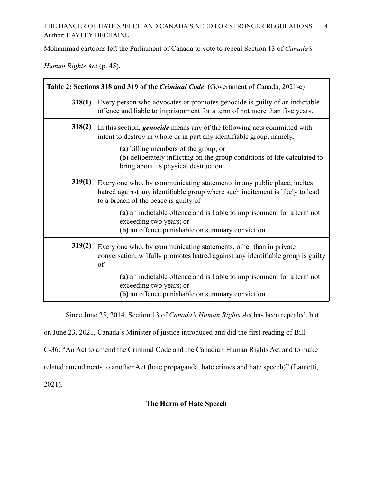## THE DANGER OF HATE SPEECH AND CANADA'S NEED FOR STRONGER REGULATIONS 4 Author: HAYLEY DECHAINE

Mohammad cartoons left the Parliament of Canada to vote to repeal Section 13 of *Canada's*

*Human Rights Act* (p. 45).

| Table 2: Sections 318 and 319 of the <i>Criminal Code</i> (Government of Canada, 2021-c) |                                                                                                                                                                                                                                                                                                                                                            |
|------------------------------------------------------------------------------------------|------------------------------------------------------------------------------------------------------------------------------------------------------------------------------------------------------------------------------------------------------------------------------------------------------------------------------------------------------------|
| 318(1)                                                                                   | Every person who advocates or promotes genocide is guilty of an indictable<br>offence and liable to imprisonment for a term of not more than five years.                                                                                                                                                                                                   |
| 318(2)                                                                                   | In this section, <i>genocide</i> means any of the following acts committed with<br>intent to destroy in whole or in part any identifiable group, namely,<br>(a) killing members of the group; or<br>(b) deliberately inflicting on the group conditions of life calculated to<br>bring about its physical destruction.                                     |
| 319(1)                                                                                   | Every one who, by communicating statements in any public place, incites<br>hatred against any identifiable group where such incitement is likely to lead<br>to a breach of the peace is guilty of<br>(a) an indictable offence and is liable to imprisonment for a term not<br>exceeding two years; or<br>(b) an offence punishable on summary conviction. |
| 319(2)                                                                                   | Every one who, by communicating statements, other than in private<br>conversation, wilfully promotes hatred against any identifiable group is guilty<br>of<br>(a) an indictable offence and is liable to imprisonment for a term not<br>exceeding two years; or<br>(b) an offence punishable on summary conviction.                                        |

Since June 25, 2014, Section 13 of *Canada's Human Rights Act* has been repealed, but

on June 23, 2021, Canada's Minister of justice introduced and did the first reading of Bill

C-36: "An Act to amend the Criminal Code and the Canadian Human Rights Act and to make

related amendments to another Act (hate propaganda, hate crimes and hate speech)" (Lametti,

2021).

## **The Harm of Hate Speech**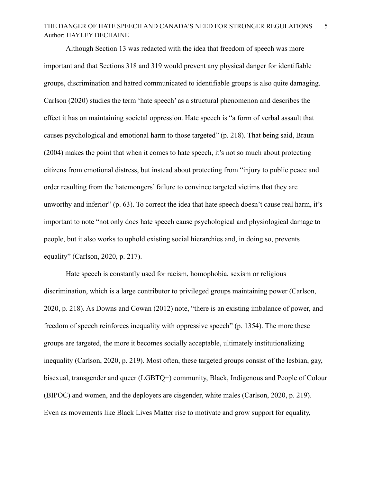## THE DANGER OF HATE SPEECH AND CANADA'S NEED FOR STRONGER REGULATIONS 5 Author: HAYLEY DECHAINE

Although Section 13 was redacted with the idea that freedom of speech was more important and that Sections 318 and 319 would prevent any physical danger for identifiable groups, discrimination and hatred communicated to identifiable groups is also quite damaging. Carlson (2020) studies the term 'hate speech' as a structural phenomenon and describes the effect it has on maintaining societal oppression. Hate speech is "a form of verbal assault that causes psychological and emotional harm to those targeted" (p. 218). That being said, Braun (2004) makes the point that when it comes to hate speech, it's not so much about protecting citizens from emotional distress, but instead about protecting from "injury to public peace and order resulting from the hatemongers' failure to convince targeted victims that they are unworthy and inferior" (p. 63). To correct the idea that hate speech doesn't cause real harm, it's important to note "not only does hate speech cause psychological and physiological damage to people, but it also works to uphold existing social hierarchies and, in doing so, prevents equality" (Carlson, 2020, p. 217).

Hate speech is constantly used for racism, homophobia, sexism or religious discrimination, which is a large contributor to privileged groups maintaining power (Carlson, 2020, p. 218). As Downs and Cowan (2012) note, "there is an existing imbalance of power, and freedom of speech reinforces inequality with oppressive speech" (p. 1354). The more these groups are targeted, the more it becomes socially acceptable, ultimately institutionalizing inequality (Carlson, 2020, p. 219). Most often, these targeted groups consist of the lesbian, gay, bisexual, transgender and queer (LGBTQ+) community, Black, Indigenous and People of Colour (BIPOC) and women, and the deployers are cisgender, white males (Carlson, 2020, p. 219). Even as movements like Black Lives Matter rise to motivate and grow support for equality,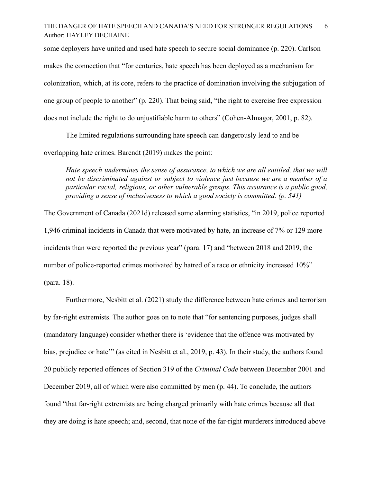## THE DANGER OF HATE SPEECH AND CANADA'S NEED FOR STRONGER REGULATIONS 6 Author: HAYLEY DECHAINE

some deployers have united and used hate speech to secure social dominance (p. 220). Carlson makes the connection that "for centuries, hate speech has been deployed as a mechanism for colonization, which, at its core, refers to the practice of domination involving the subjugation of one group of people to another" (p. 220). That being said, "the right to exercise free expression does not include the right to do unjustifiable harm to others" (Cohen-Almagor, 2001, p. 82).

The limited regulations surrounding hate speech can dangerously lead to and be overlapping hate crimes. Barendt (2019) makes the point:

*Hate speech undermines the sense of assurance, to which we are all entitled, that we will not be discriminated against or subject to violence just because we are a member of a particular racial, religious, or other vulnerable groups. This assurance is a public good, providing a sense of inclusiveness to which a good society is committed. (p. 541)*

The Government of Canada (2021d) released some alarming statistics, "in 2019, police reported 1,946 criminal incidents in Canada that were motivated by hate, an increase of 7% or 129 more incidents than were reported the previous year" (para. 17) and "between 2018 and 2019, the number of police-reported crimes motivated by hatred of a race or ethnicity increased 10%" (para. 18).

Furthermore, Nesbitt et al. (2021) study the difference between hate crimes and terrorism by far-right extremists. The author goes on to note that "for sentencing purposes, judges shall (mandatory language) consider whether there is 'evidence that the offence was motivated by bias, prejudice or hate'" (as cited in Nesbitt et al., 2019, p. 43). In their study, the authors found 20 publicly reported offences of Section 319 of the *Criminal Code* between December 2001 and December 2019, all of which were also committed by men (p. 44). To conclude, the authors found "that far-right extremists are being charged primarily with hate crimes because all that they are doing is hate speech; and, second, that none of the far-right murderers introduced above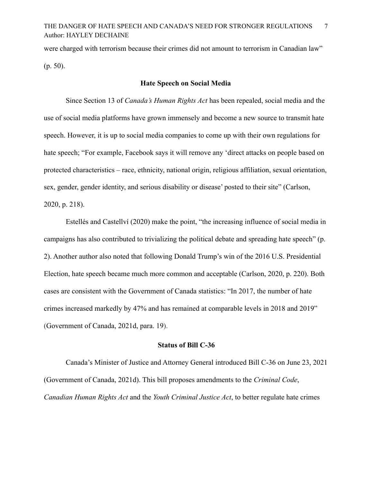were charged with terrorism because their crimes did not amount to terrorism in Canadian law" (p. 50).

#### **Hate Speech on Social Media**

Since Section 13 of *Canada's Human Rights Act* has been repealed, social media and the use of social media platforms have grown immensely and become a new source to transmit hate speech. However, it is up to social media companies to come up with their own regulations for hate speech; "For example, Facebook says it will remove any 'direct attacks on people based on protected characteristics – race, ethnicity, national origin, religious affiliation, sexual orientation, sex, gender, gender identity, and serious disability or disease' posted to their site" (Carlson, 2020, p. 218).

Estellés and Castellví (2020) make the point, "the increasing influence of social media in campaigns has also contributed to trivializing the political debate and spreading hate speech" (p. 2). Another author also noted that following Donald Trump's win of the 2016 U.S. Presidential Election, hate speech became much more common and acceptable (Carlson, 2020, p. 220). Both cases are consistent with the Government of Canada statistics: "In 2017, the number of hate crimes increased markedly by 47% and has remained at comparable levels in 2018 and 2019" (Government of Canada, 2021d, para. 19).

#### **Status of Bill C-36**

Canada's Minister of Justice and Attorney General introduced Bill C-36 on June 23, 2021 (Government of Canada, 2021d). This bill proposes amendments to the *Criminal Code*, *Canadian Human Rights Act* and the *Youth Criminal Justice Act*, to better regulate hate crimes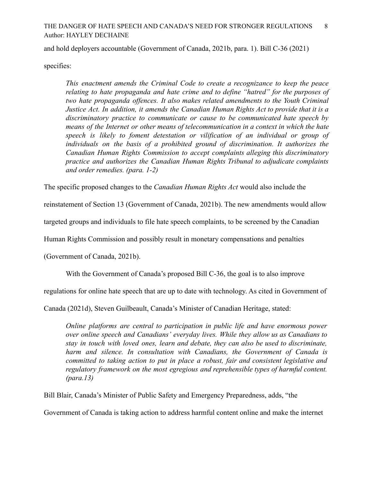## THE DANGER OF HATE SPEECH AND CANADA'S NEED FOR STRONGER REGULATIONS 8 Author: HAYLEY DECHAINE

and hold deployers accountable (Government of Canada, 2021b, para. 1). Bill C-36 (2021)

specifies:

*This enactment amends the Criminal Code to create a recognizance to keep the peace relating to hate propaganda and hate crime and to define "hatred" for the purposes of two hate propaganda offences. It also makes related amendments to the Youth Criminal Justice Act. In addition, it amends the Canadian Human Rights Act to provide that it is a discriminatory practice to communicate or cause to be communicated hate speech by means of the Internet or other means of telecommunication in a context in which the hate speech is likely to foment detestation or vilification of an individual or group of individuals on the basis of a prohibited ground of discrimination. It authorizes the Canadian Human Rights Commission to accept complaints alleging this discriminatory practice and authorizes the Canadian Human Rights Tribunal to adjudicate complaints and order remedies. (para. 1-2)*

The specific proposed changes to the *Canadian Human Rights Act* would also include the

reinstatement of Section 13 (Government of Canada, 2021b). The new amendments would allow

targeted groups and individuals to file hate speech complaints, to be screened by the Canadian

Human Rights Commission and possibly result in monetary compensations and penalties

(Government of Canada, 2021b).

With the Government of Canada's proposed Bill C-36, the goal is to also improve

regulations for online hate speech that are up to date with technology. As cited in Government of

Canada (2021d), Steven Guilbeault, Canada's Minister of Canadian Heritage, stated:

*Online platforms are central to participation in public life and have enormous power over online speech and Canadians' everyday lives. While they allow us as Canadians to stay in touch with loved ones, learn and debate, they can also be used to discriminate, harm and silence. In consultation with Canadians, the Government of Canada is committed to taking action to put in place a robust, fair and consistent legislative and regulatory framework on the most egregious and reprehensible types of harmful content. (para.13)*

Bill Blair, Canada's Minister of Public Safety and Emergency Preparedness, adds, "the

Government of Canada is taking action to address harmful content online and make the internet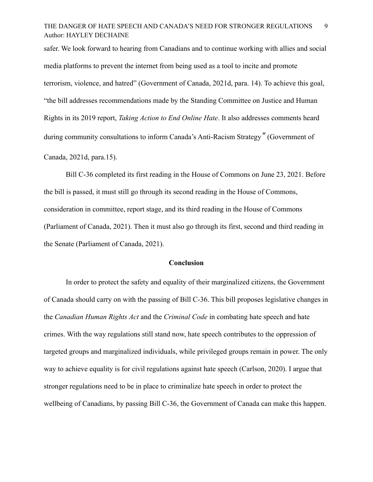## THE DANGER OF HATE SPEECH AND CANADA'S NEED FOR STRONGER REGULATIONS 9 Author: HAYLEY DECHAINE

safer. We look forward to hearing from Canadians and to continue working with allies and social media platforms to prevent the internet from being used as a tool to incite and promote terrorism, violence, and hatred" (Government of Canada, 2021d, para. 14). To achieve this goal, "the bill addresses recommendations made by the Standing Committee on Justice and Human Rights in its 2019 report, *Taking Action to End Online Hate*. It also addresses comments heard during community consultations to inform Canada's Anti-Racism Strategy*"* (Government of Canada, 2021d, para.15).

Bill C-36 completed its first reading in the House of Commons on June 23, 2021. Before the bill is passed, it must still go through its second reading in the House of Commons, consideration in committee, report stage, and its third reading in the House of Commons (Parliament of Canada, 2021). Then it must also go through its first, second and third reading in the Senate (Parliament of Canada, 2021).

#### **Conclusion**

In order to protect the safety and equality of their marginalized citizens, the Government of Canada should carry on with the passing of Bill C-36. This bill proposes legislative changes in the *Canadian Human Rights Act* and the *Criminal Code* in combating hate speech and hate crimes. With the way regulations still stand now, hate speech contributes to the oppression of targeted groups and marginalized individuals, while privileged groups remain in power. The only way to achieve equality is for civil regulations against hate speech (Carlson, 2020). I argue that stronger regulations need to be in place to criminalize hate speech in order to protect the wellbeing of Canadians, by passing Bill C-36, the Government of Canada can make this happen.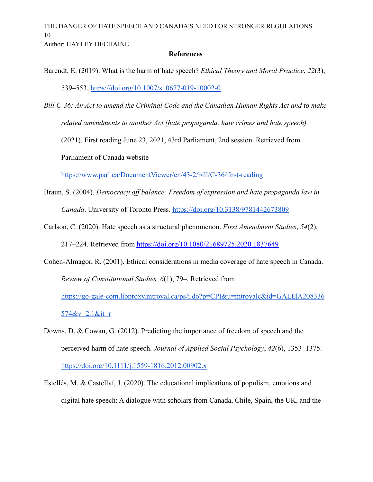THE DANGER OF HATE SPEECH AND CANADA'S NEED FOR STRONGER REGULATIONS 10

Author: HAYLEY DECHAINE

#### **References**

- Barendt, E. (2019). What is the harm of hate speech? *Ethical Theory and Moral Practice*, *22*(3), 539–553. <https://doi.org/10.1007/s10677-019-10002-0>
- *Bill C-36: An Act to amend the Criminal Code and the Canadian Human Rights Act and to make related amendments to another Act (hate propaganda, hate crimes and hate speech).* (2021). First reading June 23, 2021, 43rd Parliament, 2nd session. Retrieved from Parliament of Canada website

<https://www.parl.ca/DocumentViewer/en/43-2/bill/C-36/first-reading>

- Braun, S. (2004). *Democracy off balance: Freedom of expression and hate propaganda law in Canada*. University of Toronto Press. <https://doi.org/10.3138/9781442673809>
- Carlson, C. (2020). Hate speech as a structural phenomenon. *First Amendment Studies*, *54*(2), 217–224. Retrieved from <https://doi.org/10.1080/21689725.2020.1837649>
- Cohen-Almagor, R. (2001). Ethical considerations in media coverage of hate speech in Canada. *Review of Constitutional Studies, 6*(1), 79–. Retrieved from [https://go-gale-com.libproxy.mtroyal.ca/ps/i.do?p=CPI&u=mtroyalc&id=GALE|A208336](https://go-gale-com.libproxy.mtroyal.ca/ps/i.do?p=CPI&u=mtroyalc&id=GALE%7CA208336574&v=2.1&it=r) [574&v=2.1&it=r](https://go-gale-com.libproxy.mtroyal.ca/ps/i.do?p=CPI&u=mtroyalc&id=GALE%7CA208336574&v=2.1&it=r)
- Downs, D. & Cowan, G. (2012). Predicting the importance of freedom of speech and the perceived harm of hate speech. *Journal of Applied Social Psychology*, *42*(6), 1353–1375. <https://doi.org/10.1111/j.1559-1816.2012.00902.x>
- Estellés, M. & Castellví, J. (2020). The educational implications of populism, emotions and digital hate speech: A dialogue with scholars from Canada, Chile, Spain, the UK, and the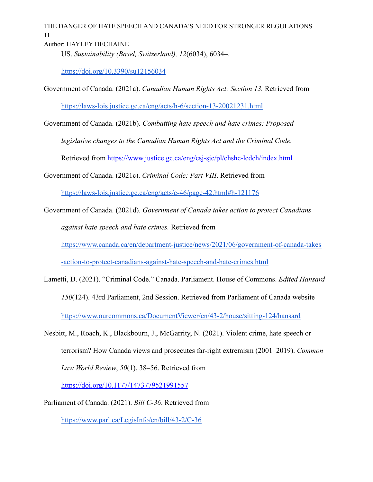THE DANGER OF HATE SPEECH AND CANADA'S NEED FOR STRONGER REGULATIONS 11

Author: HAYLEY DECHAINE

US. *Sustainability (Basel, Switzerland), 12*(6034), 6034–.

<https://doi.org/10.3390/su12156034>

Government of Canada. (2021a). *Canadian Human Rights Act: Section 13.* Retrieved from <https://laws-lois.justice.gc.ca/eng/acts/h-6/section-13-20021231.html>

Government of Canada. (2021b). *Combatting hate speech and hate crimes: Proposed legislative changes to the Canadian Human Rights Act and the Criminal Code.*

Retrieved from <https://www.justice.gc.ca/eng/csj-sjc/pl/chshc-lcdch/index.html>

Government of Canada. (2021c). *Criminal Code: Part VIII*. Retrieved from

<https://laws-lois.justice.gc.ca/eng/acts/c-46/page-42.html#h-121176>

Government of Canada. (2021d). *Government of Canada takes action to protect Canadians against hate speech and hate crimes.* Retrieved from [https://www.canada.ca/en/department-justice/news/2021/06/government-of-canada-takes](https://www.canada.ca/en/department-justice/news/2021/06/government-of-canada-takes-action-to-protect-canadians-against-hate-speech-and-hate-crimes.html) [-action-to-protect-canadians-against-hate-speech-and-hate-crimes.html](https://www.canada.ca/en/department-justice/news/2021/06/government-of-canada-takes-action-to-protect-canadians-against-hate-speech-and-hate-crimes.html)

- Lametti, D. (2021). "Criminal Code." Canada. Parliament. House of Commons. *Edited Hansard 150*(124). 43rd Parliament, 2nd Session. Retrieved from Parliament of Canada website <https://www.ourcommons.ca/DocumentViewer/en/43-2/house/sitting-124/hansard>
- Nesbitt, M., Roach, K., Blackbourn, J., McGarrity, N. (2021). Violent crime, hate speech or terrorism? How Canada views and prosecutes far-right extremism (2001–2019). *Common Law World Review*, *50*(1), 38–56. Retrieved from <https://doi.org/10.1177/1473779521991557>

Parliament of Canada. (2021). *Bill C-36*. Retrieved from

<https://www.parl.ca/LegisInfo/en/bill/43-2/C-36>